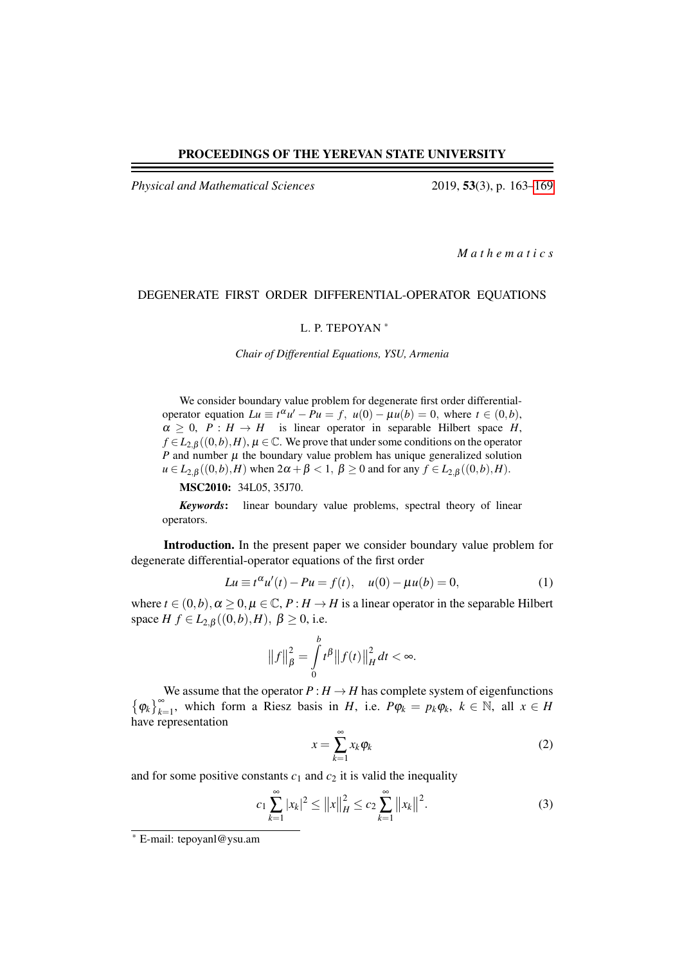### PROCEEDINGS OF THE YEREVAN STATE UNIVERSITY

*Physical and Mathematical Sciences* 2019, 53(3), p. 163[–169](#page-6-0)

*M a t h e m a t i c s*

## DEGENERATE FIRST ORDER DIFFERENTIAL-OPERATOR EQUATIONS

#### L. P. TEPOYAN <sup>∗</sup>

*Chair of Differential Equations, YSU, Armenia*

We consider boundary value problem for degenerate first order differentialoperator equation  $Lu \equiv t^{\alpha}u' - Pu = f$ ,  $u(0) - \mu u(b) = 0$ , where  $t \in (0,b)$ ,  $\alpha \geq 0$ ,  $P : H \rightarrow H$  is linear operator in separable Hilbert space *H*,  $f \in L_{2,\beta}((0,b),H)$ ,  $\mu \in \mathbb{C}$ . We prove that under some conditions on the operator *P* and number  $\mu$  the boundary value problem has unique generalized solution  $u \in L_{2,\beta}((0,b),H)$  when  $2\alpha + \beta < 1$ ,  $\beta \ge 0$  and for any  $f \in L_{2,\beta}((0,b),H)$ .

MSC2010: 34L05, 35J70.

*Keywords*: linear boundary value problems, spectral theory of linear operators.

Introduction. In the present paper we consider boundary value problem for degenerate differential-operator equations of the first order

<span id="page-0-0"></span>
$$
Lu \equiv t^{\alpha} u'(t) - Pu = f(t), \quad u(0) - \mu u(b) = 0,
$$
 (1)

where  $t \in (0,b), \alpha \ge 0, \mu \in \mathbb{C}, P : H \to H$  is a linear operator in the separable Hilbert space  $H f \in L_{2,\beta}((0,b),H)$ ,  $\beta \ge 0$ , i.e.

$$
\|f\|_{\beta}^{2} = \int_{0}^{b} t^{\beta} \|f(t)\|_{H}^{2} dt < \infty.
$$

We assume that the operator  $P: H \to H$  has complete system of eigenfunctions  $\{\varphi_k\}_{k=1}^{\infty}$ , which form a Riesz basis in *H*, i.e.  $P\varphi_k = p_k\varphi_k$ ,  $k \in \mathbb{N}$ , all  $x \in H$ have representation

$$
x = \sum_{k=1}^{\infty} x_k \varphi_k \tag{2}
$$

and for some positive constants  $c_1$  and  $c_2$  it is valid the inequality

$$
c_1 \sum_{k=1}^{\infty} |x_k|^2 \le ||x||_H^2 \le c_2 \sum_{k=1}^{\infty} ||x_k||^2.
$$
 (3)

<sup>∗</sup> E-mail: tepoyanl@ysu.am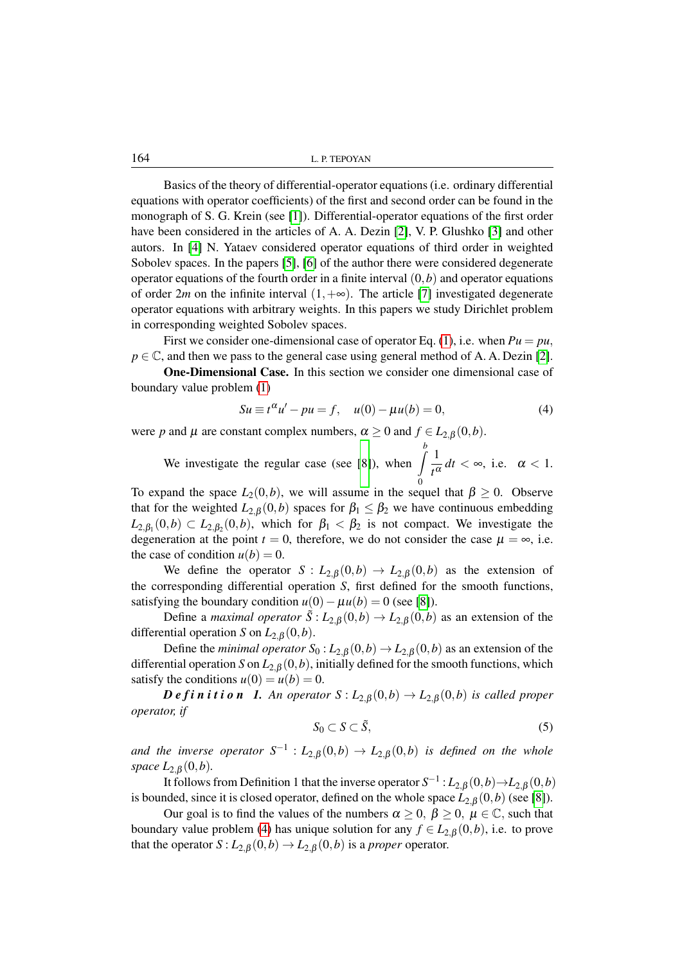164 L. P. TEPOYAN

Basics of the theory of differential-operator equations (i.e. ordinary differential equations with operator coefficients) of the first and second order can be found in the monograph of S. G. Krein (see [\[1\]](#page-6-1)). Differential-operator equations of the first order have been considered in the articles of A. A. Dezin [\[2\]](#page-6-2), V. P. Glushko [\[3\]](#page-6-3) and other autors. In [\[4\]](#page-6-4) N. Yataev considered operator equations of third order in weighted Sobolev spaces. In the papers [\[5\]](#page-6-5), [\[6\]](#page-6-6) of the author there were considered degenerate operator equations of the fourth order in a finite interval  $(0,b)$  and operator equations of order 2*m* on the infinite interval  $(1, +\infty)$ . The article [\[7\]](#page-6-7) investigated degenerate operator equations with arbitrary weights. In this papers we study Dirichlet problem in corresponding weighted Sobolev spaces.

First we consider one-dimensional case of operator Eq. [\(1\)](#page-0-0), i.e. when  $Pu = pu$ ,  $p \in \mathbb{C}$ , and then we pass to the general case using general method of A. A. Dezin [\[2\]](#page-6-2).

One-Dimensional Case. In this section we consider one dimensional case of boundary value problem [\(1\)](#page-0-0)

<span id="page-1-0"></span>
$$
Su \equiv t^{\alpha} u' - pu = f, \quad u(0) - \mu u(b) = 0,
$$
 (4)

were *p* and  $\mu$  are constant complex numbers,  $\alpha \ge 0$  and  $f \in L_{2,\beta}(0,b)$ .

We investigate the regular case (see [\[8\]](#page-6-8)), when  $\int_{a}^{b} \frac{1}{a}$  $\frac{1}{t^{\alpha}}$  *dt* < ∞, i.e.  $\alpha$  < 1.

To expand the space  $L_2(0,b)$ , we will assume in the sequel that  $\beta \ge 0$ . Observe that for the weighted  $L_{2,\beta}(0,b)$  spaces for  $\beta_1 \leq \beta_2$  we have continuous embedding  $L_{2,\beta_1}(0,b) \subset L_{2,\beta_2}(0,b)$ , which for  $\beta_1 < \beta_2$  is not compact. We investigate the degeneration at the point  $t = 0$ , therefore, we do not consider the case  $\mu = \infty$ , i.e. the case of condition  $u(b) = 0$ .

We define the operator  $S: L_{2,\beta}(0,b) \to L_{2,\beta}(0,b)$  as the extension of the corresponding differential operation *S*, first defined for the smooth functions, satisfying the boundary condition  $u(0) - \mu u(b) = 0$  (see [\[8\]](#page-6-8)).

Define a *maximal operator*  $\tilde{S}: L_{2,\beta}(0,b) \to L_{2,\beta}(0,b)$  as an extension of the differential operation *S* on  $L_{2,\beta}(0,b)$ .

Define the *minimal operator*  $S_0: L_{2,\beta}(0,b) \to L_{2,\beta}(0,b)$  as an extension of the differential operation *S* on  $L_{2,\beta}(0,b)$ , initially defined for the smooth functions, which satisfy the conditions  $u(0) = u(b) = 0$ .

*D e f* i *n* i *t* i *o n I*. *An operator*  $S: L_{2, \beta}(0, b) \to L_{2, \beta}(0, b)$  *is called proper operator, if*

$$
S_0 \subset S \subset \tilde{S},\tag{5}
$$

and the inverse operator  $S^{-1}$  :  $L_{2,\beta}(0,b) \rightarrow L_{2,\beta}(0,b)$  is defined on the whole *space*  $L_{2,\beta}(0,b)$ *.* 

It follows from Definition 1 that the inverse operator  $S^{-1}$  :  $L_{2,\beta}(0,b) \rightarrow L_{2,\beta}(0,b)$ is bounded, since it is closed operator, defined on the whole space  $L_{2,\beta}(0,b)$  (see [\[8\]](#page-6-8)).

Our goal is to find the values of the numbers  $\alpha \geq 0$ ,  $\beta \geq 0$ ,  $\mu \in \mathbb{C}$ , such that boundary value problem [\(4\)](#page-1-0) has unique solution for any  $f \in L_{2,\beta}(0,b)$ , i.e. to prove that the operator  $S: L_{2,\beta}(0,b) \to L_{2,\beta}(0,b)$  is a *proper* operator.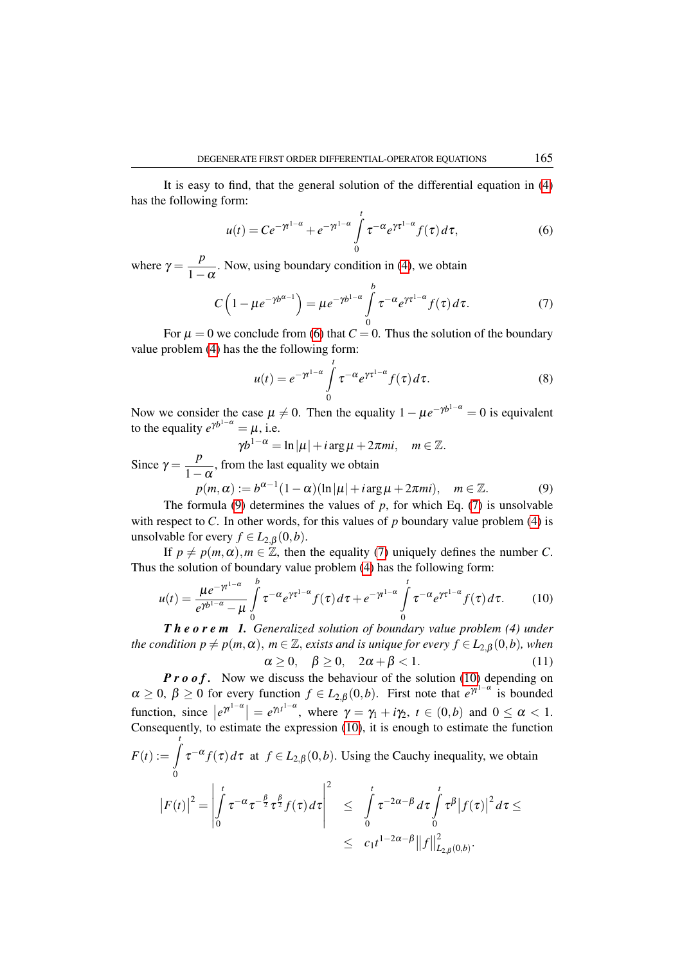It is easy to find, that the general solution of the differential equation in [\(4\)](#page-1-0) has the following form:

<span id="page-2-0"></span>
$$
u(t) = Ce^{-\gamma t^{1-\alpha}} + e^{-\gamma t^{1-\alpha}} \int_{0}^{t} \tau^{-\alpha} e^{\gamma \tau^{1-\alpha}} f(\tau) d\tau,
$$
 (6)

where  $\gamma = \frac{p}{1}$  $\frac{P}{1-\alpha}$ . Now, using boundary condition in [\(4\)](#page-1-0), we obtain

<span id="page-2-2"></span>
$$
C\left(1-\mu e^{-\gamma b^{\alpha-1}}\right) = \mu e^{-\gamma b^{1-\alpha}} \int\limits_{0}^{b} \tau^{-\alpha} e^{\gamma \tau^{1-\alpha}} f(\tau) d\tau.
$$
 (7)

For  $\mu = 0$  we conclude from [\(6\)](#page-2-0) that  $C = 0$ . Thus the solution of the boundary value problem [\(4\)](#page-1-0) has the the following form:

<span id="page-2-5"></span>
$$
u(t) = e^{-\gamma t^{1-\alpha}} \int_{0}^{t} \tau^{-\alpha} e^{\gamma \tau^{1-\alpha}} f(\tau) d\tau.
$$
 (8)

Now we consider the case  $\mu \neq 0$ . Then the equality  $1 - \mu e^{-\gamma b^{1-\alpha}} = 0$  is equivalent to the equality  $e^{\gamma b^{1-\alpha}} = \mu$ , i.e.

 $\gamma b^{1-\alpha} = \ln |\mu| + i \arg \mu + 2\pi m i, \quad m \in \mathbb{Z}.$ 

Since  $\gamma = \frac{P}{1-\alpha}$ , from the last equality we obtain *p*

<span id="page-2-1"></span>
$$
p(m,\alpha) := b^{\alpha-1}(1-\alpha)(\ln|\mu| + i\arg\mu + 2\pi mi), \quad m \in \mathbb{Z}.
$$
 (9)

The formula [\(9\)](#page-2-1) determines the values of  $p$ , for which Eq. [\(7\)](#page-2-2) is unsolvable with respect to *C*. In other words, for this values of *p* boundary value problem [\(4\)](#page-1-0) is unsolvable for every  $f \in L_{2,\beta}(0,b)$ .

If  $p \neq p(m, \alpha)$ ,  $m \in \mathbb{Z}$ , then the equality [\(7\)](#page-2-2) uniquely defines the number *C*. Thus the solution of boundary value problem [\(4\)](#page-1-0) has the following form:

<span id="page-2-4"></span><span id="page-2-3"></span>
$$
u(t) = \frac{\mu e^{-\gamma t^{1-\alpha}}}{e^{\gamma b^{1-\alpha}} - \mu} \int_{0}^{b} \tau^{-\alpha} e^{\gamma \tau^{1-\alpha}} f(\tau) d\tau + e^{-\gamma t^{1-\alpha}} \int_{0}^{t} \tau^{-\alpha} e^{\gamma \tau^{1-\alpha}} f(\tau) d\tau.
$$
 (10)

*T h e o r e m 1. Generalized solution of boundary value problem (4) under the condition p*  $\neq$  *p*(*m*, $\alpha$ ), *m* ∈ Z, *exists and is unique for every f* ∈  $L_{2, \beta}(0, b)$ *, when*  $\alpha > 0$ ,  $\beta > 0$ ,  $2\alpha + \beta < 1$ . (11)

*P r o of.* Now we discuss the behaviour of the solution [\(10\)](#page-2-3) depending on  $\alpha \geq 0$ ,  $\beta \geq 0$  for every function  $f \in L_{2,\beta}(0,b)$ . First note that  $e^{\gamma t^{1-\alpha}}$  is bounded function, since  $|e^{\gamma t^{1-\alpha}}| = e^{\gamma t^{1-\alpha}}$ , where  $\gamma = \gamma_1 + i\gamma_2$ ,  $t \in (0,b)$  and  $0 \le \alpha < 1$ . Consequently, to estimate the expression [\(10\)](#page-2-3), it is enough to estimate the function  $F(t) := \int_0^t$  $\boldsymbol{0}$  $\tau^{-\alpha} f(\tau) d\tau$  at  $f \in L_{2,\beta}(0,b)$ . Using the Cauchy inequality, we obtain  $\bigg\}$ Z*t* β β  $\bigg\}$ 2 Z*t* Z*t*

$$
\left|F(t)\right|^2 = \left|\int\limits_0^t \tau^{-\alpha} \tau^{-\frac{\beta}{2}} \tau^{\frac{\beta}{2}} f(\tau) d\tau\right| \leq \int\limits_0^t \tau^{-2\alpha-\beta} d\tau \int\limits_0^t \tau^{\beta} \left|f(\tau)\right|^2 d\tau \leq \leq c_1 t^{1-2\alpha-\beta} \|f\|_{L_{2,\beta}(0,b)}^2.
$$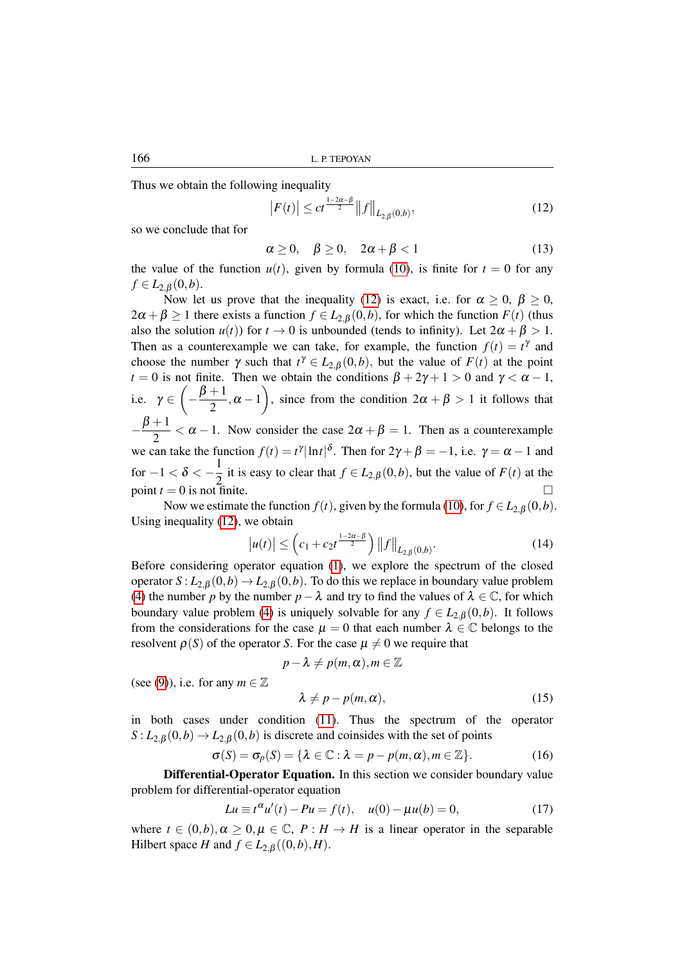Thus we obtain the following inequality

<span id="page-3-0"></span>
$$
\left| F(t) \right| \leq ct^{\frac{1-2\alpha-\beta}{2}} \left\| f \right\|_{L_{2,\beta}(0,b)},\tag{12}
$$

so we conclude that for

$$
\alpha \ge 0, \quad \beta \ge 0, \quad 2\alpha + \beta < 1 \tag{13}
$$

the value of the function  $u(t)$ , given by formula [\(10\)](#page-2-3), is finite for  $t = 0$  for any  $f \in L_{2,\beta}(0,b).$ 

Now let us prove that the inequality [\(12\)](#page-3-0) is exact, i.e. for  $\alpha \geq 0$ ,  $\beta \geq 0$ ,  $2\alpha + \beta \ge 1$  there exists a function  $f \in L_{2,\beta}(0,b)$ , for which the function  $F(t)$  (thus also the solution  $u(t)$ ) for  $t \to 0$  is unbounded (tends to infinity). Let  $2\alpha + \beta > 1$ . Then as a counterexample we can take, for example, the function  $f(t) = t^{\gamma}$  and choose the number  $\gamma$  such that  $t^{\gamma} \in L_{2,\beta}(0,b)$ , but the value of  $F(t)$  at the point *t* = 0 is not finite. Then we obtain the conditions  $\beta + 2\gamma + 1 > 0$  and  $\gamma < \alpha - 1$ , i.e.  $\gamma \in \left(-\frac{\beta+1}{2}\right)$  $\left(\frac{+1}{2}, \alpha -1\right)$ , since from the condition  $2\alpha + \beta > 1$  it follows that  $-\frac{\beta+1}{2}$  $\frac{1}{2} < \alpha - 1$ . Now consider the case  $2\alpha + \beta = 1$ . Then as a counterexample we can take the function  $f(t) = t^{\gamma} |\ln t|^{\delta}$ . Then for  $2\gamma + \beta = -1$ , i.e.  $\gamma = \alpha - 1$  and for  $-1 < \delta < -\frac{1}{2}$  $\frac{1}{2}$  it is easy to clear that  $f \in L_{2,\beta}(0,b)$ , but the value of  $F(t)$  at the point  $t = 0$  is not finite.

Now we estimate the function  $f(t)$ , given by the formula [\(10\)](#page-2-3), for  $f \in L_{2,\beta}(0,b)$ . Using inequality [\(12\)](#page-3-0), we obtain

$$
|u(t)| \le \left(c_1 + c_2 t^{\frac{1-2\alpha-\beta}{2}}\right) ||f||_{L_{2,\beta}(0,b)}.
$$
\n(14)

Before considering operator equation [\(1\)](#page-0-0), we explore the spectrum of the closed operator  $S: L_{2,\beta}(0,b) \to L_{2,\beta}(0,b)$ . To do this we replace in boundary value problem [\(4\)](#page-1-0) the number *p* by the number  $p - \lambda$  and try to find the values of  $\lambda \in \mathbb{C}$ , for which boundary value problem [\(4\)](#page-1-0) is uniquely solvable for any  $f \in L_{2,\beta}(0,b)$ . It follows from the considerations for the case  $\mu = 0$  that each number  $\lambda \in \mathbb{C}$  belongs to the resolvent  $\rho(S)$  of the operator *S*. For the case  $\mu \neq 0$  we require that

$$
p - \lambda \neq p(m, \alpha), m \in \mathbb{Z}
$$
  

$$
\lambda \neq p - p(m, \alpha),
$$
 (15)

(see [\(9\)](#page-2-1)), i.e. for any  $m \in \mathbb{Z}$ 

in both cases under condition [\(11\)](#page-2-4). Thus the spectrum of the operator  $S: L_{2,\beta}(0,b) \to L_{2,\beta}(0,b)$  is discrete and coinsides with the set of points

$$
\sigma(S) = \sigma_p(S) = \{\lambda \in \mathbb{C} : \lambda = p - p(m, \alpha), m \in \mathbb{Z}\}.
$$
 (16)

Differential-Operator Equation. In this section we consider boundary value problem for differential-operator equation

<span id="page-3-1"></span>
$$
Lu \equiv t^{\alpha} u'(t) - Pu = f(t), \quad u(0) - \mu u(b) = 0,
$$
 (17)

where  $t \in (0,b), \alpha \geq 0, \mu \in \mathbb{C}, P : H \to H$  is a linear operator in the separable Hilbert space *H* and  $f \in L_{2, \beta}((0, b), H)$ .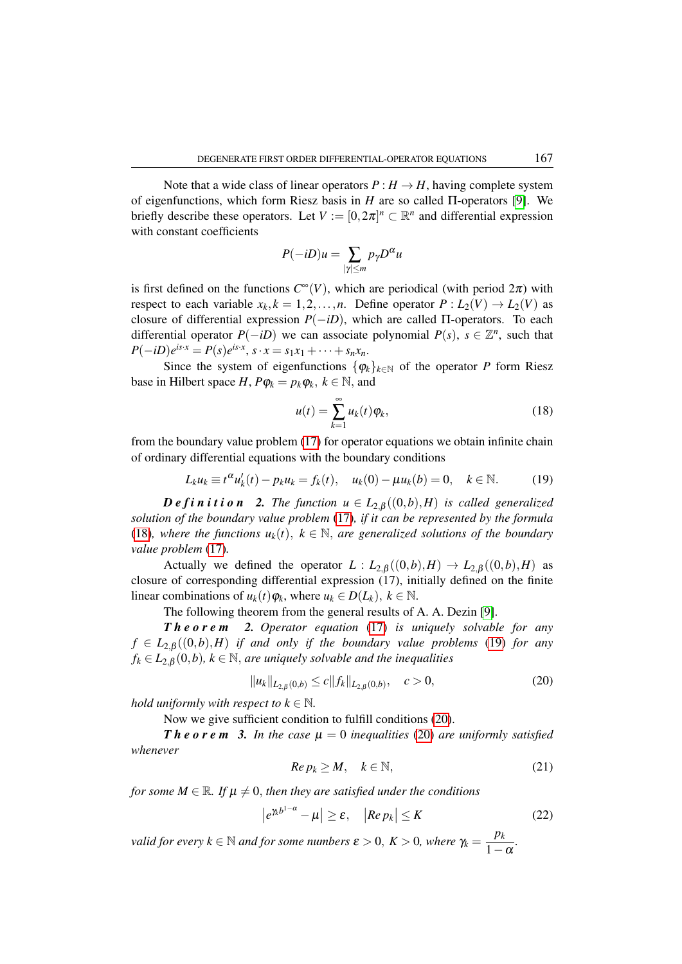Note that a wide class of linear operators  $P: H \to H$ , having complete system of eigenfunctions, which form Riesz basis in *H* are so called Π-operators [\[9\]](#page-6-9). We briefly describe these operators. Let  $V := [0, 2\pi]^n \subset \mathbb{R}^n$  and differential expression with constant coefficients

$$
P(-iD)u = \sum_{|\gamma| \le m} p_{\gamma}D^{\alpha}u
$$

is first defined on the functions  $C^{\infty}(V)$ , which are periodical (with period  $2\pi$ ) with respect to each variable  $x_k$ ,  $k = 1, 2, ..., n$ . Define operator  $P: L_2(V) \to L_2(V)$  as closure of differential expression  $P(-iD)$ , which are called  $\Pi$ -operators. To each differential operator  $P(-iD)$  we can associate polynomial  $P(s)$ ,  $s \in \mathbb{Z}^n$ , such that  $P(-iD)e^{is\cdot x} = P(s)e^{is\cdot x}, s\cdot x = s_1x_1 + \cdots + s_nx_n.$ 

Since the system of eigenfunctions  $\{\varphi_k\}_{k\in\mathbb{N}}$  of the operator *P* form Riesz base in Hilbert space *H*,  $P\varphi_k = p_k \varphi_k$ ,  $k \in \mathbb{N}$ , and

<span id="page-4-0"></span>
$$
u(t) = \sum_{k=1}^{\infty} u_k(t)\varphi_k,
$$
\n(18)

from the boundary value problem [\(17\)](#page-3-1) for operator equations we obtain infinite chain of ordinary differential equations with the boundary conditions

<span id="page-4-1"></span>
$$
L_k u_k \equiv t^{\alpha} u'_k(t) - p_k u_k = f_k(t), \quad u_k(0) - \mu u_k(b) = 0, \quad k \in \mathbb{N}.
$$
 (19)

*Definition* 2. *The function*  $u \in L_{2,\beta}((0,b),H)$  *is called generalized solution of the boundary value problem* [\(17\)](#page-3-1)*, if it can be represented by the formula* [\(18\)](#page-4-0), where the functions  $u_k(t)$ ,  $k \in \mathbb{N}$ , are generalized solutions of the boundary *value problem* [\(17\)](#page-3-1)*.*

Actually we defined the operator  $L: L_{2,\beta}((0,b),H) \to L_{2,\beta}((0,b),H)$  as closure of corresponding differential expression (17), initially defined on the finite linear combinations of  $u_k(t)\varphi_k$ , where  $u_k \in D(L_k)$ ,  $k \in \mathbb{N}$ .

The following theorem from the general results of A. A. Dezin [\[9\]](#page-6-9).

*T h e o r e m 2. Operator equation* [\(17\)](#page-3-1) *is uniquely solvable for any*  $f \in L_{2,\beta}((0,b),H)$  *if and only if the boundary value problems* [\(19\)](#page-4-1) *for any*  $f_k \in L_{2,\beta}(0,b)$ ,  $k \in \mathbb{N}$ , *are uniquely solvable and the inequalities* 

<span id="page-4-2"></span>
$$
||u_k||_{L_{2,\beta}(0,b)} \le c||f_k||_{L_{2,\beta}(0,b)}, \quad c > 0,
$$
\n(20)

*hold uniformly with respect to*  $k \in \mathbb{N}$ .

Now we give sufficient condition to fulfill conditions [\(20\)](#page-4-2).

*Theorem 3. In the case*  $\mu = 0$  *inequalities* [\(20\)](#page-4-2) *are uniformly satisfied whenever*

<span id="page-4-3"></span>
$$
Re\, p_k \ge M, \quad k \in \mathbb{N},\tag{21}
$$

*for some M*  $\in \mathbb{R}$ *. If*  $\mu \neq 0$ *, then they are satisfied under the conditions* 

<span id="page-4-4"></span>
$$
\left|e^{\gamma_k b^{1-\alpha}} - \mu\right| \ge \varepsilon, \quad \left|Re p_k\right| \le K \tag{22}
$$

*valid for every*  $k \in \mathbb{N}$  *and for some numbers*  $\varepsilon > 0$ ,  $K > 0$ , *where*  $\gamma_k = \frac{p_k}{1 - \varepsilon}$  $\frac{P^k}{1-\alpha}$ .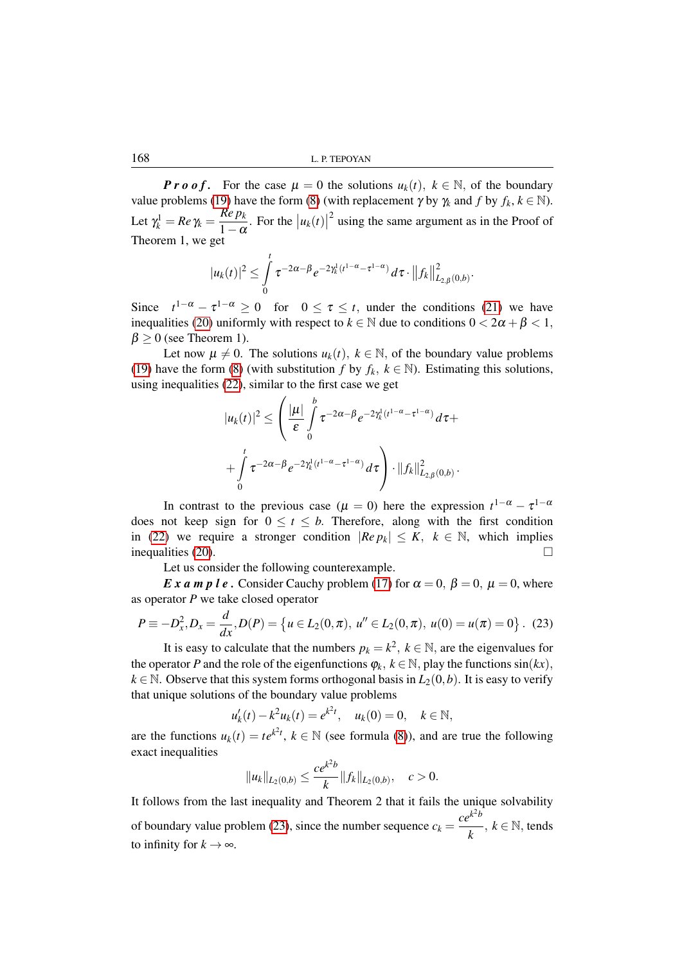168 L. P. TEPOYAN

*P r o o f*. For the case  $\mu = 0$  the solutions  $u_k(t)$ ,  $k \in \mathbb{N}$ , of the boundary value problems [\(19\)](#page-4-1) have the form [\(8\)](#page-2-5) (with replacement  $\gamma$  by  $\gamma_k$  and  $f$  by  $f_k$ ,  $k \in \mathbb{N}$ ). Let  $\gamma_k^1 = Re \gamma_k = \frac{Re \, p_k}{1 - \alpha}$  $\frac{R E P k}{1 - \alpha}$ . For the  $|u_k(t)|$  $2$  using the same argument as in the Proof of Theorem 1, we get

$$
|u_k(t)|^2 \leq \int_0^t \tau^{-2\alpha-\beta} e^{-2\gamma_k^1(t^{1-\alpha}-\tau^{1-\alpha})} d\tau \cdot ||f_k||^2_{L_{2,\beta}(0,b)}.
$$

Since  $t^{1-\alpha} - \tau^{1-\alpha} \ge 0$  for  $0 \le \tau \le t$ , under the conditions [\(21\)](#page-4-3) we have inequalities [\(20\)](#page-4-2) uniformly with respect to  $k \in \mathbb{N}$  due to conditions  $0 < 2\alpha + \beta < 1$ ,  $\beta \geq 0$  (see Theorem 1).

Let now  $\mu \neq 0$ . The solutions  $u_k(t)$ ,  $k \in \mathbb{N}$ , of the boundary value problems [\(19\)](#page-4-1) have the form [\(8\)](#page-2-5) (with substitution *f* by  $f_k$ ,  $k \in \mathbb{N}$ ). Estimating this solutions, using inequalities [\(22\)](#page-4-4), similar to the first case we get

$$
|u_k(t)|^2 \leq \left(\frac{|\mu|}{\varepsilon} \int_0^b \tau^{-2\alpha-\beta} e^{-2\gamma_k^1 (t^{1-\alpha}-\tau^{1-\alpha})} d\tau + \int_0^t \tau^{-2\alpha-\beta} e^{-2\gamma_k^1 (t^{1-\alpha}-\tau^{1-\alpha})} d\tau\right) \cdot ||f_k||^2_{L_{2,\beta}(0,b)}.
$$

In contrast to the previous case ( $\mu = 0$ ) here the expression  $t^{1-\alpha} - \tau^{1-\alpha}$ does not keep sign for  $0 \le t \le b$ . Therefore, along with the first condition in [\(22\)](#page-4-4) we require a stronger condition  $|Re p_k| \le K$ ,  $k \in \mathbb{N}$ , which implies inequalities [\(20\)](#page-4-2).

Let us consider the following counterexample.

*E x a m p l e*. Consider Cauchy problem [\(17\)](#page-3-1) for  $\alpha = 0$ ,  $\beta = 0$ ,  $\mu = 0$ , where as operator *P* we take closed operator

<span id="page-5-0"></span>
$$
P \equiv -D_x^2, D_x = \frac{d}{dx}, D(P) = \{u \in L_2(0, \pi), u'' \in L_2(0, \pi), u(0) = u(\pi) = 0\}.
$$
 (23)

It is easy to calculate that the numbers  $p_k = k^2$ ,  $k \in \mathbb{N}$ , are the eigenvalues for the operator *P* and the role of the eigenfunctions  $\varphi_k$ ,  $k \in \mathbb{N}$ , play the functions  $\sin(kx)$ ,  $k \in \mathbb{N}$ . Observe that this system forms orthogonal basis in  $L_2(0,b)$ . It is easy to verify that unique solutions of the boundary value problems

$$
u'_{k}(t) - k^{2} u_{k}(t) = e^{k^{2} t}, \quad u_{k}(0) = 0, \quad k \in \mathbb{N},
$$

are the functions  $u_k(t) = te^{k^2t}$ ,  $k \in \mathbb{N}$  (see formula [\(8\)](#page-2-5)), and are true the following exact inequalities

$$
||u_k||_{L_2(0,b)} \leq \frac{ce^{k^2b}}{k} ||f_k||_{L_2(0,b)}, \quad c > 0.
$$

It follows from the last inequality and Theorem 2 that it fails the unique solvability of boundary value problem [\(23\)](#page-5-0), since the number sequence  $c_k =$  $ce^{k^2b}$  $\frac{k}{k}$ ,  $k \in \mathbb{N}$ , tends to infinity for  $k \to \infty$ .